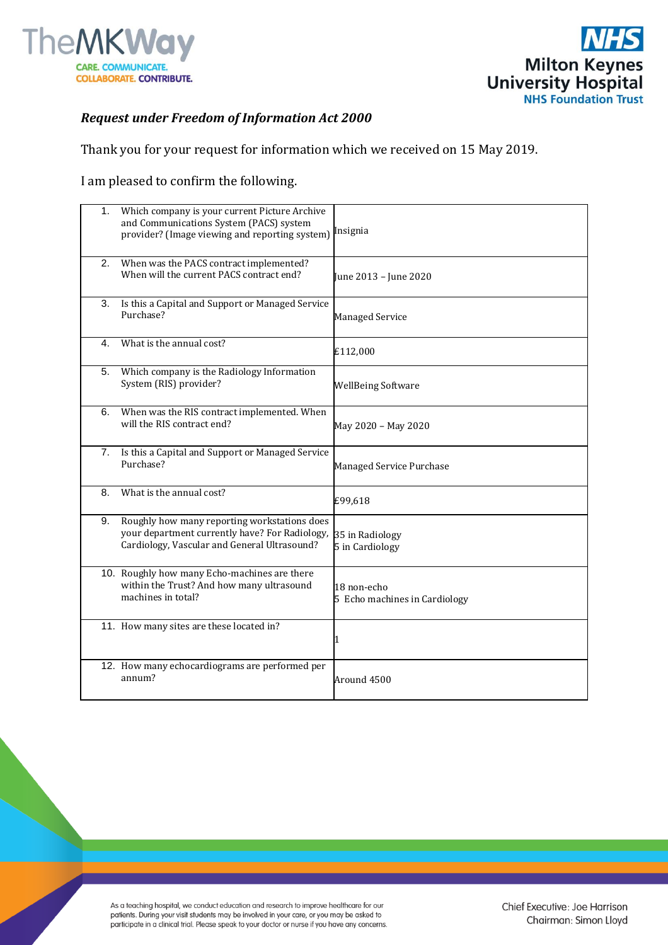



## *Request under Freedom of Information Act 2000*

Thank you for your request for information which we received on 15 May 2019.

I am pleased to confirm the following.

| 1. | Which company is your current Picture Archive<br>and Communications System (PACS) system<br>provider? (Image viewing and reporting system)     | Insignia                                     |
|----|------------------------------------------------------------------------------------------------------------------------------------------------|----------------------------------------------|
| 2. | When was the PACS contract implemented?<br>When will the current PACS contract end?                                                            | June 2013 – June 2020                        |
| 3. | Is this a Capital and Support or Managed Service<br>Purchase?                                                                                  | <b>Managed Service</b>                       |
| 4. | What is the annual cost?                                                                                                                       | £112,000                                     |
| 5. | Which company is the Radiology Information<br>System (RIS) provider?                                                                           | <b>WellBeing Software</b>                    |
| 6. | When was the RIS contract implemented. When<br>will the RIS contract end?                                                                      | May 2020 - May 2020                          |
| 7. | Is this a Capital and Support or Managed Service<br>Purchase?                                                                                  | Managed Service Purchase                     |
| 8. | What is the annual cost?                                                                                                                       | £99,618                                      |
| 9. | Roughly how many reporting workstations does<br>your department currently have? For Radiology,<br>Cardiology, Vascular and General Ultrasound? | 35 in Radiology<br>5 in Cardiology           |
|    | 10. Roughly how many Echo-machines are there<br>within the Trust? And how many ultrasound<br>machines in total?                                | 18 non-echo<br>5 Echo machines in Cardiology |
|    | 11. How many sites are these located in?                                                                                                       | 1                                            |
|    | 12. How many echocardiograms are performed per<br>annum?                                                                                       | Around 4500                                  |

As a teaching hospital, we conduct education and research to improve healthcare for our patients. During your visit students may be involved in your care, or you may be asked to participate in a clinical trial. Please speak to your doctor or nurse if you have any concerns.